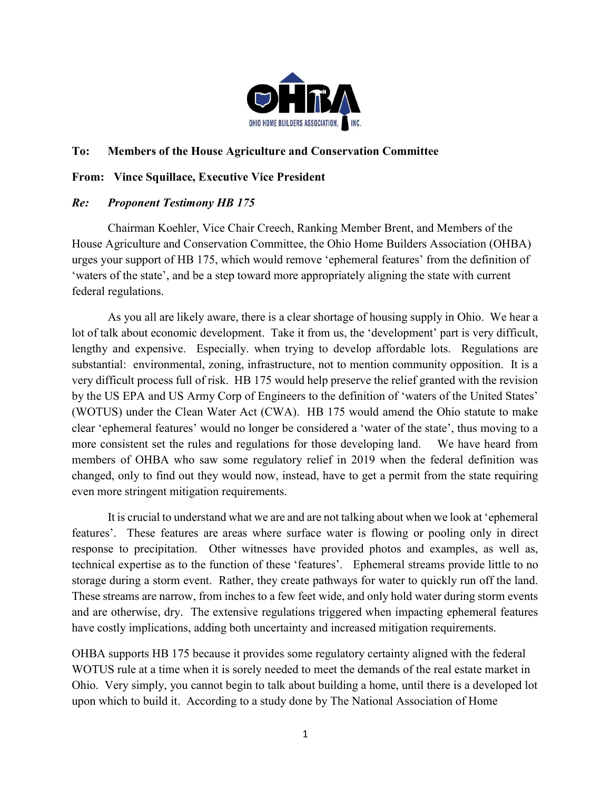

## To: Members of the House Agriculture and Conservation Committee

## From: Vince Squillace, Executive Vice President

## Re: Proponent Testimony HB 175

Chairman Koehler, Vice Chair Creech, Ranking Member Brent, and Members of the House Agriculture and Conservation Committee, the Ohio Home Builders Association (OHBA) urges your support of HB 175, which would remove 'ephemeral features' from the definition of 'waters of the state', and be a step toward more appropriately aligning the state with current federal regulations.

As you all are likely aware, there is a clear shortage of housing supply in Ohio. We hear a lot of talk about economic development. Take it from us, the 'development' part is very difficult, lengthy and expensive. Especially. when trying to develop affordable lots. Regulations are substantial: environmental, zoning, infrastructure, not to mention community opposition. It is a very difficult process full of risk. HB 175 would help preserve the relief granted with the revision by the US EPA and US Army Corp of Engineers to the definition of 'waters of the United States' (WOTUS) under the Clean Water Act (CWA). HB 175 would amend the Ohio statute to make clear 'ephemeral features' would no longer be considered a 'water of the state', thus moving to a more consistent set the rules and regulations for those developing land. We have heard from members of OHBA who saw some regulatory relief in 2019 when the federal definition was changed, only to find out they would now, instead, have to get a permit from the state requiring even more stringent mitigation requirements.

It is crucial to understand what we are and are not talking about when we look at 'ephemeral features'. These features are areas where surface water is flowing or pooling only in direct response to precipitation. Other witnesses have provided photos and examples, as well as, technical expertise as to the function of these 'features'. Ephemeral streams provide little to no storage during a storm event. Rather, they create pathways for water to quickly run off the land. These streams are narrow, from inches to a few feet wide, and only hold water during storm events and are otherwise, dry. The extensive regulations triggered when impacting ephemeral features have costly implications, adding both uncertainty and increased mitigation requirements.

OHBA supports HB 175 because it provides some regulatory certainty aligned with the federal WOTUS rule at a time when it is sorely needed to meet the demands of the real estate market in Ohio. Very simply, you cannot begin to talk about building a home, until there is a developed lot upon which to build it. According to a study done by The National Association of Home